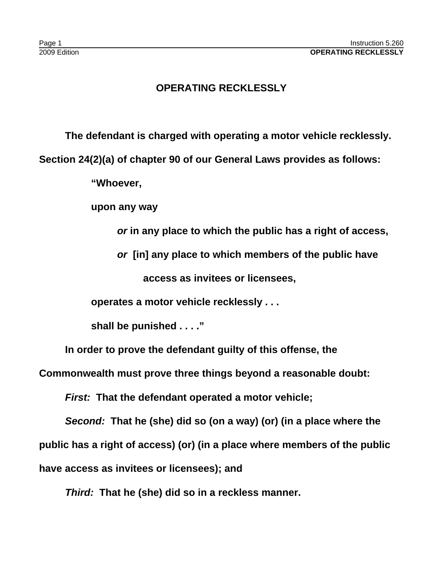## **OPERATING RECKLESSLY**

**The defendant is charged with operating a motor vehicle recklessly.** 

**Section 24(2)(a) of chapter 90 of our General Laws provides as follows:**

**"Whoever,**

**upon any way** 

*or* **in any place to which the public has a right of access,**

*or* **[in] any place to which members of the public have**

**access as invitees or licensees,**

**operates a motor vehicle recklessly . . .** 

**shall be punished . . . ."**

**In order to prove the defendant guilty of this offense, the**

**Commonwealth must prove three things beyond a reasonable doubt:**

*First:* **That the defendant operated a motor vehicle;**

*Second:* **That he (she) did so (on a way) (or) (in a place where the public has a right of access) (or) (in a place where members of the public have access as invitees or licensees); and**

*Third:* **That he (she) did so in a reckless manner.**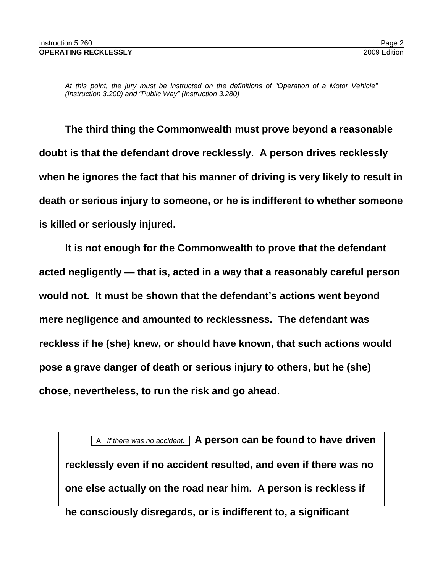*At this point, the jury must be instructed on the definitions of "Operation of a Motor Vehicle" (Instruction 3.200) and "Public Way" (Instruction 3.280)* 

**The third thing the Commonwealth must prove beyond a reasonable doubt is that the defendant drove recklessly. A person drives recklessly when he ignores the fact that his manner of driving is very likely to result in death or serious injury to someone, or he is indifferent to whether someone is killed or seriously injured.** 

**It is not enough for the Commonwealth to prove that the defendant acted negligently — that is, acted in a way that a reasonably careful person would not. It must be shown that the defendant's actions went beyond mere negligence and amounted to recklessness. The defendant was reckless if he (she) knew, or should have known, that such actions would pose a grave danger of death or serious injury to others, but he (she) chose, nevertheless, to run the risk and go ahead.**

A. *If there was no accident.* **A person can be found to have driven recklessly even if no accident resulted, and even if there was no one else actually on the road near him. A person is reckless if he consciously disregards, or is indifferent to, a significant**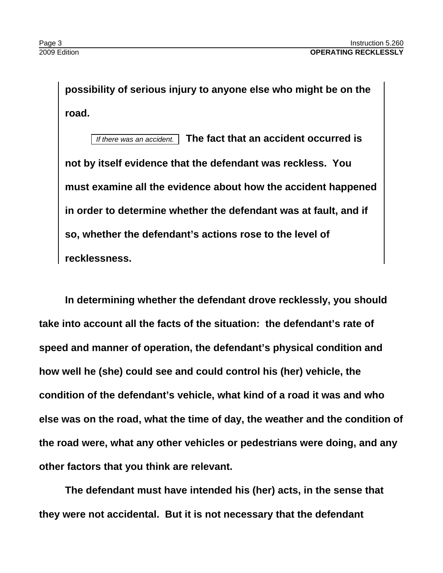**possibility of serious injury to anyone else who might be on the road.**

*If there was an accident.* **The fact that an accident occurred is not by itself evidence that the defendant was reckless. You must examine all the evidence about how the accident happened in order to determine whether the defendant was at fault, and if so, whether the defendant's actions rose to the level of recklessness.**

**In determining whether the defendant drove recklessly, you should take into account all the facts of the situation: the defendant's rate of speed and manner of operation, the defendant's physical condition and how well he (she) could see and could control his (her) vehicle, the condition of the defendant's vehicle, what kind of a road it was and who else was on the road, what the time of day, the weather and the condition of the road were, what any other vehicles or pedestrians were doing, and any other factors that you think are relevant.**

**The defendant must have intended his (her) acts, in the sense that they were not accidental. But it is not necessary that the defendant**